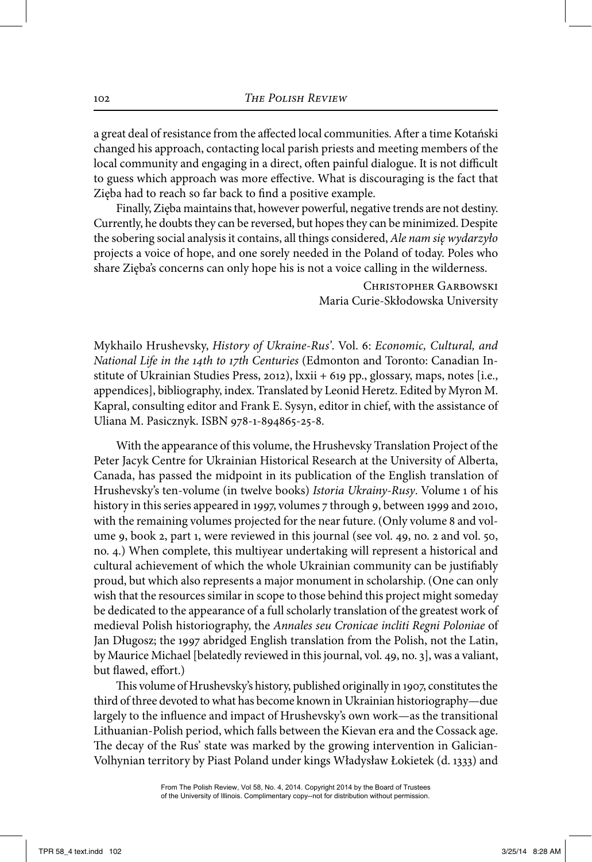Mykhailo Hrushevsky, *History of Ukraine-Rus'*. Vol. 6: *Economic, Cultural, and National Life in the 14th to 17th Centuries* (Edmonton and Toronto: Canadian Institute of Ukrainian Studies Press, 2012), lxxii + 619 pp., glossary, maps, notes [i.e., appendices], bibliography, index. Translated by Leonid Heretz. Edited by Myron M. Kapral, consulting editor and Frank E. Sysyn, editor in chief, with the assistance of Uliana M. Pasicznyk. ISBN 978-1-894865-25-8.

 With the appearance of this volume, the Hrushevsky Translation Project of the Peter Jacyk Centre for Ukrainian Historical Research at the University of Alberta, Canada, has passed the midpoint in its publication of the English translation of Hrushevsky's ten-volume (in twelve books) *Istoria Ukrainy-Rusy*. Volume 1 of his history in this series appeared in 1997, volumes 7 through 9, between 1999 and 2010, with the remaining volumes projected for the near future. (Only volume 8 and volume 9, book 2, part 1, were reviewed in this journal (see vol. 49, no. 2 and vol. 50, no. 4.) When complete, this multiyear undertaking will represent a historical and cultural achievement of which the whole Ukrainian community can be justifiably proud, but which also represents a major monument in scholarship. (One can only wish that the resources similar in scope to those behind this project might someday be dedicated to the appearance of a full scholarly translation of the greatest work of medieval Polish historiography, the *Annales seu Cronicae incliti Regni Poloniae* of Jan Długosz; the 1997 abridged English translation from the Polish, not the Latin, by Maurice Michael [belatedly reviewed in this journal, vol. 49, no. 3], was a valiant, but flawed, effort.)

 This volume of Hrushevsky's history, published originally in 1907, constitutes the third of three devoted to what has become known in Ukrainian historiography—due largely to the influence and impact of Hrushevsky's own work—as the transitional Lithuanian-Polish period, which falls between the Kievan era and the Cossack age. The decay of the Rus' state was marked by the growing intervention in Galician-Volhynian territory by Piast Poland under kings Władysław Łokietek (d. 1333) and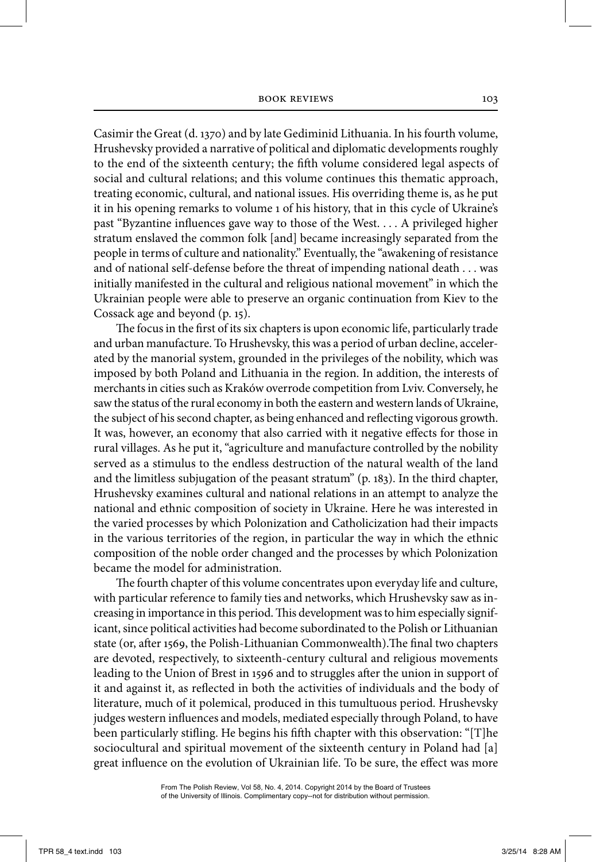Casimir the Great (d. 1370) and by late Gediminid Lithuania. In his fourth volume, Hrushevsky provided a narrative of political and diplomatic developments roughly to the end of the sixteenth century; the fifth volume considered legal aspects of social and cultural relations; and this volume continues this thematic approach, treating economic, cultural, and national issues. His overriding theme is, as he put it in his opening remarks to volume 1 of his history, that in this cycle of Ukraine's past "Byzantine influences gave way to those of the West. . . . A privileged higher stratum enslaved the common folk [and] became increasingly separated from the people in terms of culture and nationality." Eventually, the "awakening of resistance and of national self-defense before the threat of impending national death . . . was initially manifested in the cultural and religious national movement" in which the Ukrainian people were able to preserve an organic continuation from Kiev to the Cossack age and beyond (p. 15).

 The focus in the first of its six chapters is upon economic life, particularly trade and urban manufacture. To Hrushevsky, this was a period of urban decline, accelerated by the manorial system, grounded in the privileges of the nobility, which was imposed by both Poland and Lithuania in the region. In addition, the interests of merchants in cities such as Kraków overrode competition from Lviv. Conversely, he saw the status of the rural economy in both the eastern and western lands of Ukraine, the subject of his second chapter, as being enhanced and reflecting vigorous growth. It was, however, an economy that also carried with it negative effects for those in rural villages. As he put it, "agriculture and manufacture controlled by the nobility served as a stimulus to the endless destruction of the natural wealth of the land and the limitless subjugation of the peasant stratum" (p. 183). In the third chapter, Hrushevsky examines cultural and national relations in an attempt to analyze the national and ethnic composition of society in Ukraine. Here he was interested in the varied processes by which Polonization and Catholicization had their impacts in the various territories of the region, in particular the way in which the ethnic composition of the noble order changed and the processes by which Polonization became the model for administration.

 The fourth chapter of this volume concentrates upon everyday life and culture, with particular reference to family ties and networks, which Hrushevsky saw as increasing in importance in this period. This development was to him especially significant, since political activities had become subordinated to the Polish or Lithuanian state (or, after 1569, the Polish-Lithuanian Commonwealth).The final two chapters are devoted, respectively, to sixteenth-century cultural and religious movements leading to the Union of Brest in 1596 and to struggles after the union in support of it and against it, as reflected in both the activities of individuals and the body of literature, much of it polemical, produced in this tumultuous period. Hrushevsky judges western influences and models, mediated especially through Poland, to have been particularly stifling. He begins his fifth chapter with this observation: "[T]he sociocultural and spiritual movement of the sixteenth century in Poland had [a] great influence on the evolution of Ukrainian life. To be sure, the effect was more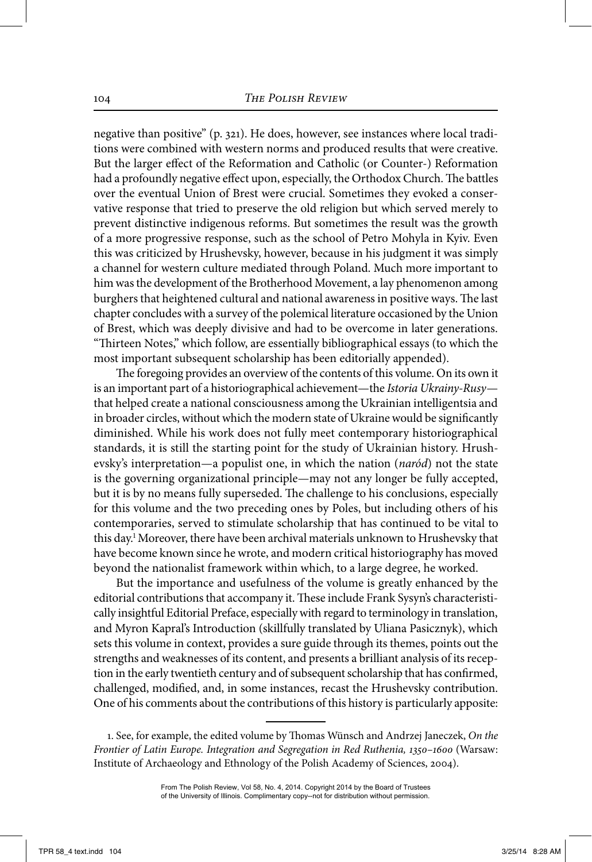negative than positive" (p. 321). He does, however, see instances where local traditions were combined with western norms and produced results that were creative. But the larger effect of the Reformation and Catholic (or Counter-) Reformation had a profoundly negative effect upon, especially, the Orthodox Church. The battles over the eventual Union of Brest were crucial. Sometimes they evoked a conservative response that tried to preserve the old religion but which served merely to prevent distinctive indigenous reforms. But sometimes the result was the growth of a more progressive response, such as the school of Petro Mohyla in Kyiv. Even this was criticized by Hrushevsky, however, because in his judgment it was simply a channel for western culture mediated through Poland. Much more important to him was the development of the Brotherhood Movement, a lay phenomenon among burghers that heightened cultural and national awareness in positive ways. The last chapter concludes with a survey of the polemical literature occasioned by the Union of Brest, which was deeply divisive and had to be overcome in later generations. "Thirteen Notes," which follow, are essentially bibliographical essays (to which the most important subsequent scholarship has been editorially appended).

 The foregoing provides an overview of the contents of this volume. On its own it is an important part of a historiographical achievement—the *Istoria Ukrainy-Rusy* that helped create a national consciousness among the Ukrainian intelligentsia and in broader circles, without which the modern state of Ukraine would be significantly diminished. While his work does not fully meet contemporary historiographical standards, it is still the starting point for the study of Ukrainian history. Hrushevsky's interpretation—a populist one, in which the nation (*naród*) not the state is the governing organizational principle—may not any longer be fully accepted, but it is by no means fully superseded. The challenge to his conclusions, especially for this volume and the two preceding ones by Poles, but including others of his contemporaries, served to stimulate scholarship that has continued to be vital to this day.1 Moreover, there have been archival materials unknown to Hrushevsky that have become known since he wrote, and modern critical historiography has moved beyond the nationalist framework within which, to a large degree, he worked.

 But the importance and usefulness of the volume is greatly enhanced by the editorial contributions that accompany it. These include Frank Sysyn's characteristically insightful Editorial Preface, especially with regard to terminology in translation, and Myron Kapral's Introduction (skillfully translated by Uliana Pasicznyk), which sets this volume in context, provides a sure guide through its themes, points out the strengths and weaknesses of its content, and presents a brilliant analysis of its reception in the early twentieth century and of subsequent scholarship that has confirmed, challenged, modified, and, in some instances, recast the Hrushevsky contribution. One of his comments about the contributions of this history is particularly apposite:

 <sup>1.</sup> See, for example, the edited volume by Thomas Wünsch and Andrzej Janeczek, *On the Frontier of Latin Europe. Integration and Segregation in Red Ruthenia, 1350–1600* (Warsaw: Institute of Archaeology and Ethnology of the Polish Academy of Sciences, 2004).